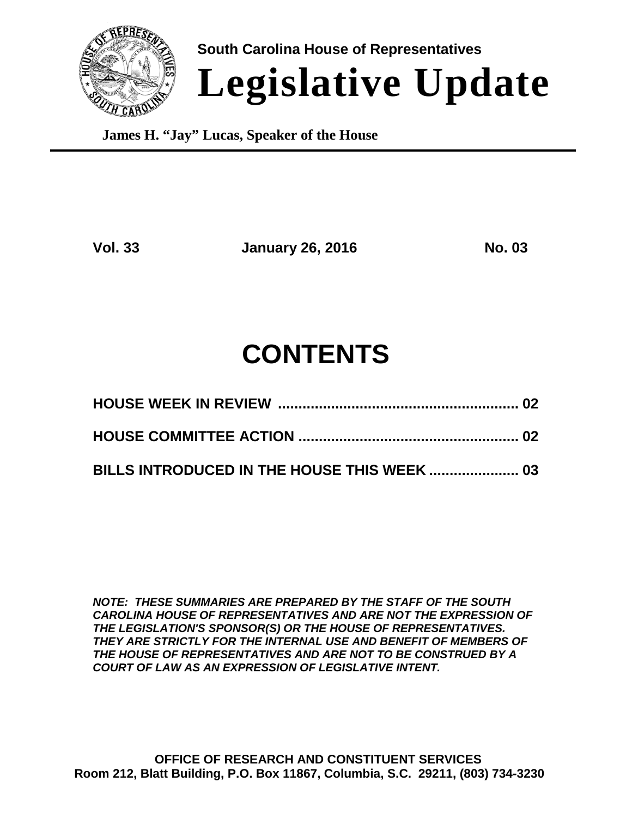

**South Carolina House of Representatives Legislative Update**

**James H. "Jay" Lucas, Speaker of the House**

**Vol. 33 January 26, 2016 No. 03**

# **CONTENTS**

*NOTE: THESE SUMMARIES ARE PREPARED BY THE STAFF OF THE SOUTH CAROLINA HOUSE OF REPRESENTATIVES AND ARE NOT THE EXPRESSION OF THE LEGISLATION'S SPONSOR(S) OR THE HOUSE OF REPRESENTATIVES. THEY ARE STRICTLY FOR THE INTERNAL USE AND BENEFIT OF MEMBERS OF THE HOUSE OF REPRESENTATIVES AND ARE NOT TO BE CONSTRUED BY A COURT OF LAW AS AN EXPRESSION OF LEGISLATIVE INTENT.*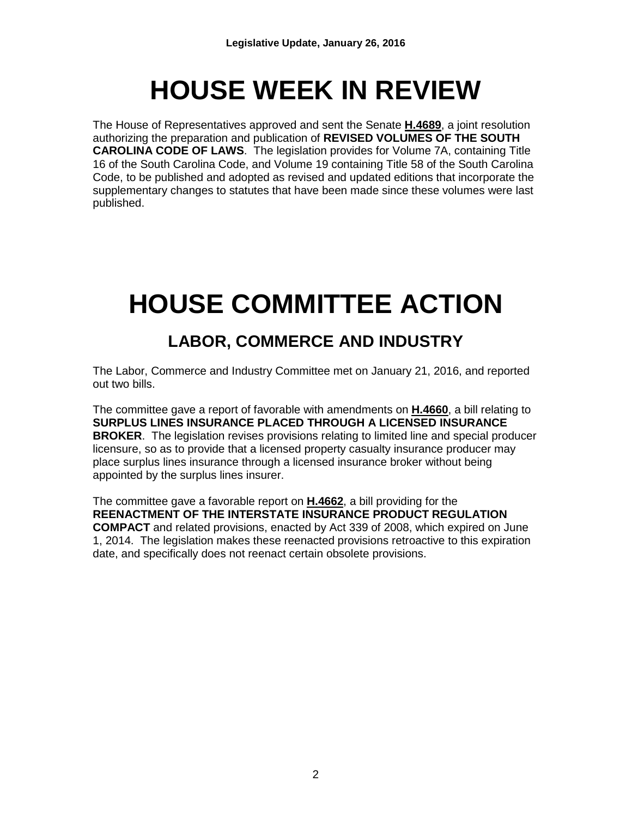# **HOUSE WEEK IN REVIEW**

The House of Representatives approved and sent the Senate **H.4689**, a joint resolution authorizing the preparation and publication of **REVISED VOLUMES OF THE SOUTH CAROLINA CODE OF LAWS**. The legislation provides for Volume 7A, containing Title 16 of the South Carolina Code, and Volume 19 containing Title 58 of the South Carolina Code, to be published and adopted as revised and updated editions that incorporate the supplementary changes to statutes that have been made since these volumes were last published.

# **HOUSE COMMITTEE ACTION**

# **LABOR, COMMERCE AND INDUSTRY**

The Labor, Commerce and Industry Committee met on January 21, 2016, and reported out two bills.

The committee gave a report of favorable with amendments on **H.4660**, a bill relating to **SURPLUS LINES INSURANCE PLACED THROUGH A LICENSED INSURANCE BROKER**. The legislation revises provisions relating to limited line and special producer licensure, so as to provide that a licensed property casualty insurance producer may place surplus lines insurance through a licensed insurance broker without being appointed by the surplus lines insurer.

The committee gave a favorable report on **H.4662**, a bill providing for the **REENACTMENT OF THE INTERSTATE INSURANCE PRODUCT REGULATION COMPACT** and related provisions, enacted by Act 339 of 2008, which expired on June 1, 2014. The legislation makes these reenacted provisions retroactive to this expiration date, and specifically does not reenact certain obsolete provisions.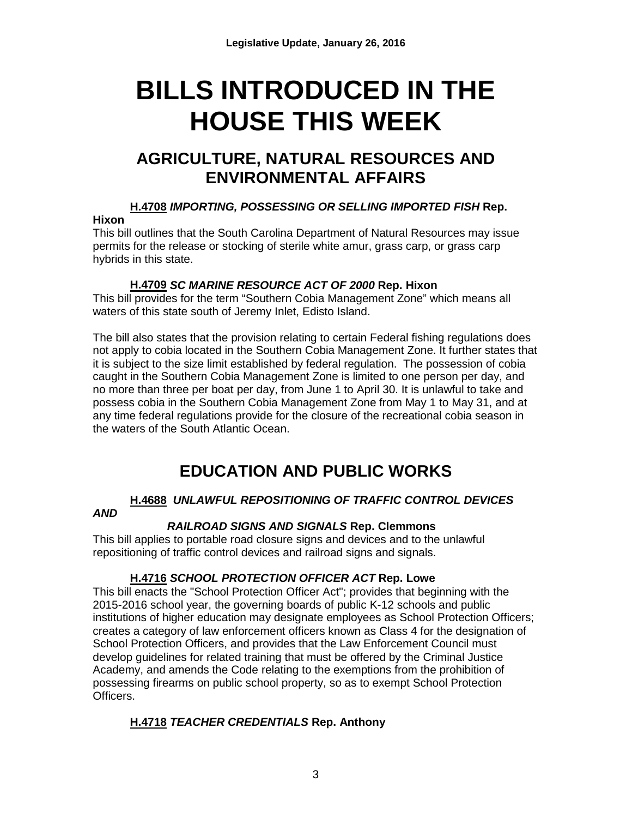# **BILLS INTRODUCED IN THE HOUSE THIS WEEK**

## **AGRICULTURE, NATURAL RESOURCES AND ENVIRONMENTAL AFFAIRS**

# **H.4708** *IMPORTING, POSSESSING OR SELLING IMPORTED FISH* **Rep.**

### **Hixon**

This bill outlines that the South Carolina Department of Natural Resources may issue permits for the release or stocking of sterile white amur, grass carp, or grass carp hybrids in this state.

## **H.4709** *SC MARINE RESOURCE ACT OF 2000* **Rep. Hixon**

This bill provides for the term "Southern Cobia Management Zone" which means all waters of this state south of Jeremy Inlet, Edisto Island.

The bill also states that the provision relating to certain Federal fishing regulations does not apply to cobia located in the Southern Cobia Management Zone. It further states that it is subject to the size limit established by federal regulation. The possession of cobia caught in the Southern Cobia Management Zone is limited to one person per day, and no more than three per boat per day, from June 1 to April 30. It is unlawful to take and possess cobia in the Southern Cobia Management Zone from May 1 to May 31, and at any time federal regulations provide for the closure of the recreational cobia season in the waters of the South Atlantic Ocean.

# **EDUCATION AND PUBLIC WORKS**

#### **[H.4688](http://www.scstatehouse.gov/billsearch.php?billnumbers=4688&session=121&summary=B)** *UNLAWFUL REPOSITIONING OF TRAFFIC CONTROL DEVICES AND*

## *RAILROAD SIGNS AND SIGNALS* **Rep. Clemmons**

This bill applies to portable road closure signs and devices and to the unlawful repositioning of traffic control devices and railroad signs and signals.

## **[H.4716](http://www.scstatehouse.gov/billsearch.php?billnumbers=4716&session=121&summary=B)** *SCHOOL PROTECTION OFFICER ACT* **Rep. Lowe**

This bill enacts the "School Protection Officer Act"; provides that beginning with the 2015-2016 school year, the governing boards of public K-12 schools and public institutions of higher education may designate employees as School Protection Officers; creates a category of law enforcement officers known as Class 4 for the designation of School Protection Officers, and provides that the Law Enforcement Council must develop guidelines for related training that must be offered by the Criminal Justice Academy, and amends the Code relating to the exemptions from the prohibition of possessing firearms on public school property, so as to exempt School Protection Officers.

## **H.4718** *TEACHER CREDENTIALS* **Rep. Anthony**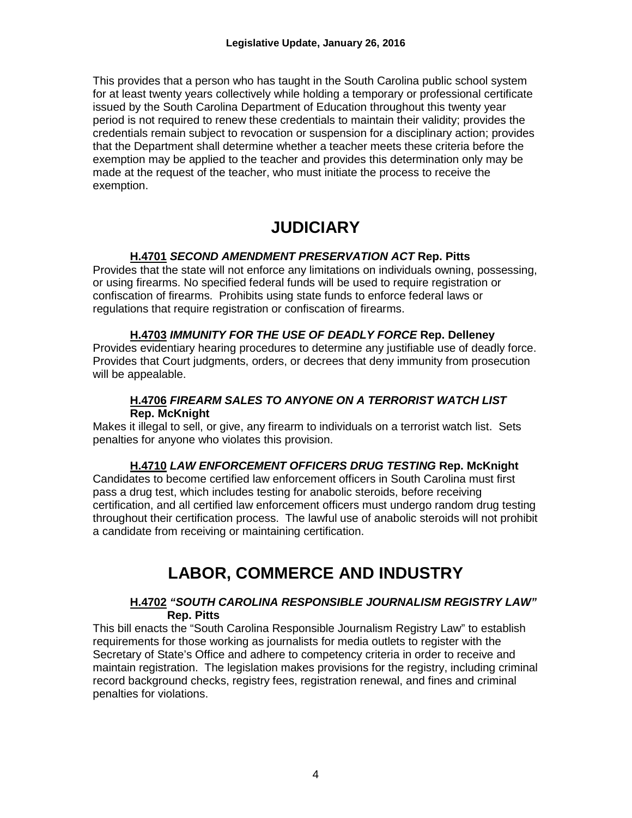This provides that a person who has taught in the South Carolina public school system for at least twenty years collectively while holding a temporary or professional certificate issued by the South Carolina Department of Education throughout this twenty year period is not required to renew these credentials to maintain their validity; provides the credentials remain subject to revocation or suspension for a disciplinary action; provides that the Department shall determine whether a teacher meets these criteria before the exemption may be applied to the teacher and provides this determination only may be made at the request of the teacher, who must initiate the process to receive the exemption.

# **JUDICIARY**

### **H.4701** *SECOND AMENDMENT PRESERVATION ACT* **Rep. Pitts**

Provides that the state will not enforce any limitations on individuals owning, possessing, or using firearms. No specified federal funds will be used to require registration or confiscation of firearms. Prohibits using state funds to enforce federal laws or regulations that require registration or confiscation of firearms.

### **H.4703** *IMMUNITY FOR THE USE OF DEADLY FORCE* **Rep. Delleney**

Provides evidentiary hearing procedures to determine any justifiable use of deadly force. Provides that Court judgments, orders, or decrees that deny immunity from prosecution will be appealable.

#### **H.4706** *FIREARM SALES TO ANYONE ON A TERRORIST WATCH LIST*  **Rep. McKnight**

Makes it illegal to sell, or give, any firearm to individuals on a terrorist watch list. Sets penalties for anyone who violates this provision.

### **H.4710** *LAW ENFORCEMENT OFFICERS DRUG TESTING* **Rep. McKnight**

Candidates to become certified law enforcement officers in South Carolina must first pass a drug test, which includes testing for anabolic steroids, before receiving certification, and all certified law enforcement officers must undergo random drug testing throughout their certification process. The lawful use of anabolic steroids will not prohibit a candidate from receiving or maintaining certification.

## **LABOR, COMMERCE AND INDUSTRY**

### **H.4702** *"SOUTH CAROLINA RESPONSIBLE JOURNALISM REGISTRY LAW"* **Rep. Pitts**

This bill enacts the "South Carolina Responsible Journalism Registry Law" to establish requirements for those working as journalists for media outlets to register with the Secretary of State's Office and adhere to competency criteria in order to receive and maintain registration. The legislation makes provisions for the registry, including criminal record background checks, registry fees, registration renewal, and fines and criminal penalties for violations.